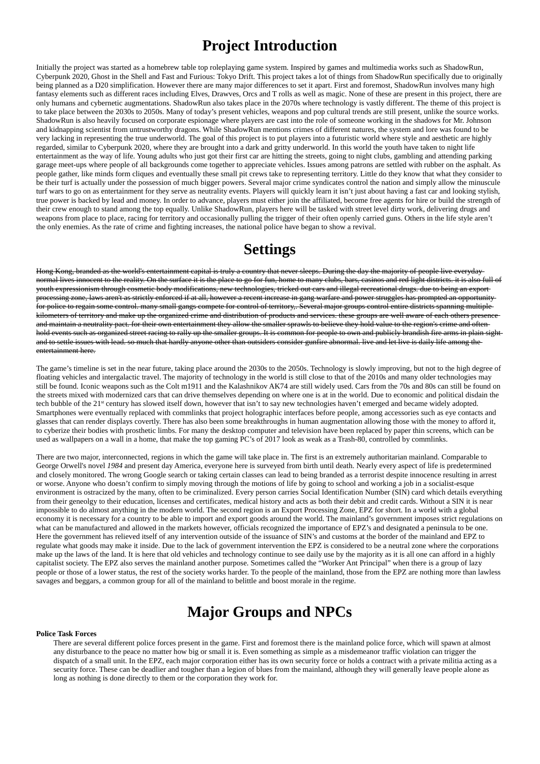### **Project Introduction**

Initially the project was started as a homebrew table top roleplaying game system. Inspired by games and multimedia works such as ShadowRun, Cyberpunk 2020, Ghost in the Shell and Fast and Furious: Tokyo Drift. This project takes a lot of things from ShadowRun specifically due to originally being planned as a D20 simplification. However there are many major differences to set it apart. First and foremost, ShadowRun involves many high fantasy elements such as different races including Elves, Drawves, Orcs and T rolls as well as magic. None of these are present in this project, there are only humans and cybernetic augmentations. ShadowRun also takes place in the 2070s where technology is vastly different. The theme of this project is to take place between the 2030s to 2050s. Many of today's present vehicles, weapons and pop cultural trends are still present, unlike the source works. ShadowRun is also heavily focused on corporate espionage where players are cast into the role of someone working in the shadows for Mr. Johnson and kidnapping scientist from untrustworthy dragons. While ShadowRun mentions crimes of different natures, the system and lore was found to be very lacking in representing the true underworld. The goal of this project is to put players into a futuristic world where style and aesthetic are highly regarded, similar to Cyberpunk 2020, where they are brought into a dark and gritty underworld. In this world the youth have taken to night life entertainment as the way of life. Young adults who just got their first car are hitting the streets, going to night clubs, gambling and attending parking garage meet-ups where people of all backgrounds come together to appreciate vehicles. Issues among patrons are settled with rubber on the asphalt. As people gather, like minds form cliques and eventually these small pit crews take to representing territory. Little do they know that what they consider to be their turf is actually under the possession of much bigger powers. Several major crime syndicates control the nation and simply allow the minuscule turf wars to go on as entertainment for they serve as neutrality events. Players will quickly learn it isn't just about having a fast car and looking stylish, true power is backed by lead and money. In order to advance, players must either join the affiliated, become free agents for hire or build the strength of their crew enough to stand among the top equally. Unlike ShadowRun, players here will be tasked with street level dirty work, delivering drugs and weapons from place to place, racing for territory and occasionally pulling the trigger of their often openly carried guns. Others in the life style aren't the only enemies. As the rate of crime and fighting increases, the national police have began to show a revival.

# **Settings**

Hong Kong, branded as the world's entertainment capital is truly a country that never sleeps. During the day the majority of people live everyday normal lives innocent to the reality. On the surface it is the place to go for fun, home to many clubs, bars, casinos and red light districts. it is also full of youth expressionism through cosmetic body modifications, new technologies, tricked out cars and illegal recreational drugs. due to being an export processing zone, laws aren't as strictly enforced if at all, however a recent increase in gang warfare and power struggles has prompted an opportunity for police to regain some control. many small gangs compete for control of territory,. Several major groups control entire districts spanning multiplekilometers of territory and make up the organized crime and distribution of products and services. these groups are well aware of each others presence and maintain a neutrality pact. for their own entertainment they allow the smaller sprawls to believe they hold value to the region's crime and often hold events such as organized street racing to rally up the smaller groups. It is common for people to own and publicly brandish fire arms in plain sight and to settle issues with lead. so much that hardly anyone other than outsiders consider gunfire abnormal. live and let live is daily life among the entertainment here.

The game's timeline is set in the near future, taking place around the 2030s to the 2050s. Technology is slowly improving, but not to the high degree of floating vehicles and intergalactic travel. The majority of technology in the world is still close to that of the 2010s and many older technologies may still be found. Iconic weapons such as the Colt m1911 and the Kalashnikov AK74 are still widely used. Cars from the 70s and 80s can still be found on the streets mixed with modernized cars that can drive themselves depending on where one is at in the world. Due to economic and political disdain the tech bubble of the 21<sup>st</sup> century has slowed itself down, however that isn't to say new technologies haven't emerged and became widely adopted. Smartphones were eventually replaced with commlinks that project holographic interfaces before people, among accessories such as eye contacts and glasses that can render displays covertly. There has also been some breakthroughs in human augmentation allowing those with the money to afford it, to cyberize their bodies with prosthetic limbs. For many the desktop computer and television have been replaced by paper thin screens, which can be used as wallpapers on a wall in a home, that make the top gaming PC's of 2017 look as weak as a Trash-80, controlled by commlinks.

There are two major, interconnected, regions in which the game will take place in. The first is an extremely authoritarian mainland. Comparable to George Orwell's novel *1984* and present day America, everyone here is surveyed from birth until death. Nearly every aspect of life is predetermined and closely monitored. The wrong Google search or taking certain classes can lead to being branded as a terrorist despite innocence resulting in arrest or worse. Anyone who doesn't confirm to simply moving through the motions of life by going to school and working a job in a socialist-esque environment is ostracized by the many, often to be criminalized. Every person carries Social Identification Number (SIN) card which details everything from their geneolgy to their education, licenses and certificates, medical history and acts as both their debit and credit cards. Without a SIN it is near impossible to do almost anything in the modern world. The second region is an Export Processing Zone, EPZ for short. In a world with a global economy it is necessary for a country to be able to import and export goods around the world. The mainland's government imposes strict regulations on what can be manufactured and allowed in the markets however, officials recognized the importance of EPZ's and designated a peninsula to be one. Here the government has relieved itself of any intervention outside of the issuance of SIN's and customs at the border of the mainland and EPZ to regulate what goods may make it inside. Due to the lack of government intervention the EPZ is considered to be a neutral zone where the corporations make up the laws of the land. It is here that old vehicles and technology continue to see daily use by the majority as it is all one can afford in a highly capitalist society. The EPZ also serves the mainland another purpose. Sometimes called the "Worker Ant Principal" when there is a group of lazy people or those of a lower status, the rest of the society works harder. To the people of the mainland, those from the EPZ are nothing more than lawless

savages and beggars, a common group for all of the mainland to belittle and boost morale in the regime.

# **Major Groups and NPCs**

#### **Police Task Forces**

There are several different police forces present in the game. First and foremost there is the mainland police force, which will spawn at almost any disturbance to the peace no matter how big or small it is. Even something as simple as a misdemeanor traffic violation can trigger the dispatch of a small unit. In the EPZ, each major corporation either has its own security force or holds a contract with a private militia acting as a security force. These can be deadlier and tougher than a legion of blues from the mainland, although they will generally leave people alone as long as nothing is done directly to them or the corporation they work for.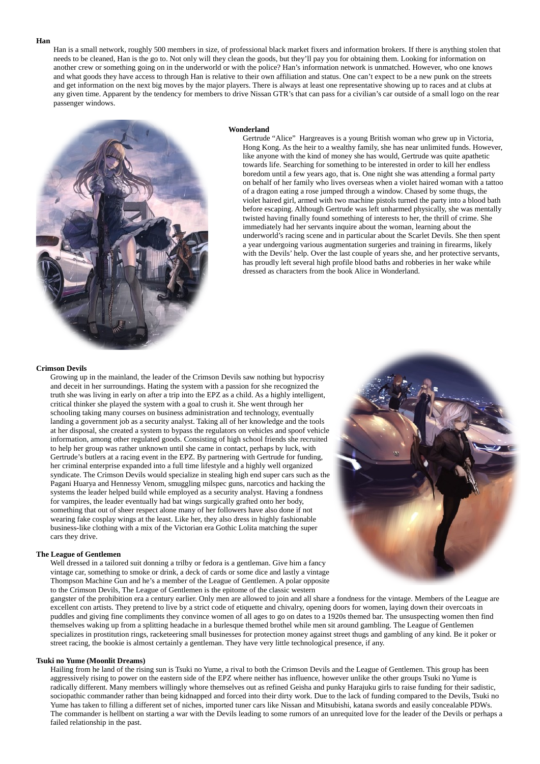**Han**

Han is a small network, roughly 500 members in size, of professional black market fixers and information brokers. If there is anything stolen that needs to be cleaned, Han is the go to. Not only will they clean the goods, but they'll pay you for obtaining them. Looking for information on another crew or something going on in the underworld or with the police? Han's information network is unmatched. However, who one knows and what goods they have access to through Han is relative to their own affiliation and status. One can't expect to be a new punk on the streets and get information on the next big moves by the major players. There is always at least one representative showing up to races and at clubs at any given time. Apparent by the tendency for members to drive Nissan GTR's that can pass for a civilian's car outside of a small logo on the rear passenger windows.



#### **Wonderland**

Gertrude "Alice" Hargreaves is a young British woman who grew up in Victoria, Hong Kong. As the heir to a wealthy family, she has near unlimited funds. However, like anyone with the kind of money she has would, Gertrude was quite apathetic towards life. Searching for something to be interested in order to kill her endless boredom until a few years ago, that is. One night she was attending a formal party on behalf of her family who lives overseas when a violet haired woman with a tattoo of a dragon eating a rose jumped through a window. Chased by some thugs, the violet haired girl, armed with two machine pistols turned the party into a blood bath before escaping. Although Gertrude was left unharmed physically, she was mentally twisted having finally found something of interests to her, the thrill of crime. She immediately had her servants inquire about the woman, learning about the underworld's racing scene and in particular about the Scarlet Devils. She then spent a year undergoing various augmentation surgeries and training in firearms, likely with the Devils' help. Over the last couple of years she, and her protective servants, has proudly left several high profile blood baths and robberies in her wake while dressed as characters from the book Alice in Wonderland.

#### **Crimson Devils**

Growing up in the mainland, the leader of the Crimson Devils saw nothing but hypocrisy and deceit in her surroundings. Hating the system with a passion for she recognized the truth she was living in early on after a trip into the EPZ as a child. As a highly intelligent, critical thinker she played the system with a goal to crush it. She went through her schooling taking many courses on business administration and technology, eventually landing a government job as a security analyst. Taking all of her knowledge and the tools at her disposal, she created a system to bypass the regulators on vehicles and spoof vehicle information, among other regulated goods. Consisting of high school friends she recruited to help her group was rather unknown until she came in contact, perhaps by luck, with Gertrude's butlers at a racing event in the EPZ. By partnering with Gertrude for funding, her criminal enterprise expanded into a full time lifestyle and a highly well organized syndicate. The Crimson Devils would specialize in stealing high end super cars such as the Pagani Huarya and Hennessy Venom, smuggling milspec guns, narcotics and hacking the systems the leader helped build while employed as a security analyst. Having a fondness for vampires, the leader eventually had bat wings surgically grafted onto her body, something that out of sheer respect alone many of her followers have also done if not wearing fake cosplay wings at the least. Like her, they also dress in highly fashionable business-like clothing with a mix of the Victorian era Gothic Lolita matching the super cars they drive.

#### **The League of Gentlemen**

Well dressed in a tailored suit donning a trilby or fedora is a gentleman. Give him a fancy vintage car, something to smoke or drink, a deck of cards or some dice and lastly a vintage



Thompson Machine Gun and he's a member of the League of Gentlemen. A polar opposite to the Crimson Devils, The League of Gentlemen is the epitome of the classic western

gangster of the prohibition era a century earlier. Only men are allowed to join and all share a fondness for the vintage. Members of the League are excellent con artists. They pretend to live by a strict code of etiquette and chivalry, opening doors for women, laying down their overcoats in puddles and giving fine compliments they convince women of all ages to go on dates to a 1920s themed bar. The unsuspecting women then find themselves waking up from a splitting headache in a burlesque themed brothel while men sit around gambling. The League of Gentlemen specializes in prostitution rings, racketeering small businesses for protection money against street thugs and gambling of any kind. Be it poker or street racing, the bookie is almost certainly a gentleman. They have very little technological presence, if any.

### **Tsuki no Yume (Moonlit Dreams)**

Hailing from he land of the rising sun is Tsuki no Yume, a rival to both the Crimson Devils and the League of Gentlemen. This group has been aggressively rising to power on the eastern side of the EPZ where neither has influence, however unlike the other groups Tsuki no Yume is radically different. Many members willingly whore themselves out as refined Geisha and punky Harajuku girls to raise funding for their sadistic, sociopathic commander rather than being kidnapped and forced into their dirty work. Due to the lack of funding compared to the Devils, Tsuki no Yume has taken to filling a different set of niches, imported tuner cars like Nissan and Mitsubishi, katana swords and easily concealable PDWs. The commander is hellbent on starting a war with the Devils leading to some rumors of an unrequited love for the leader of the Devils or perhaps a failed relationship in the past.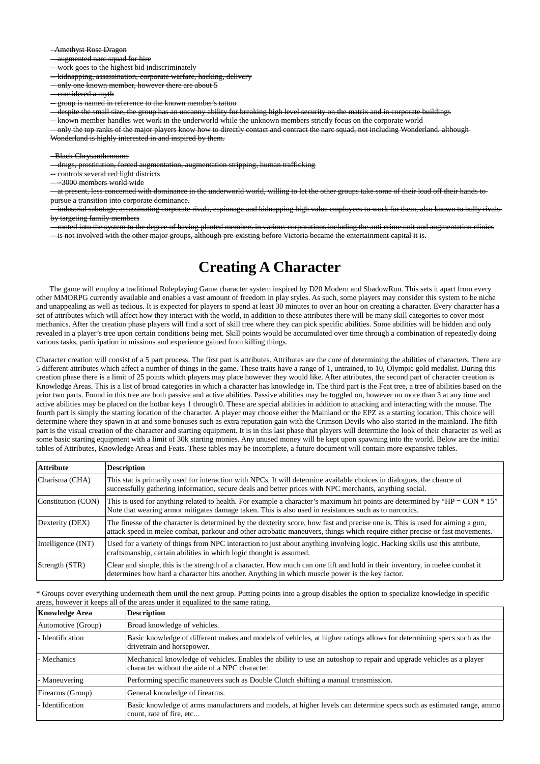- Amethyst Rose Dragon

-- augmented narc squad for hire

-- work goes to the highest bid indiscriminately

-- kidnapping, assassination, corporate warfare, hacking, delivery

-- only one known member, however there are about 5

-- considered a myth

-- group is named in reference to the known member's tattoo

-- despite the small size, the group has an uncanny ability for breaking high level security on the matrix and in corporate buildings

-- only the top ranks of the major players know how to directly contact and contract the narc squad, not including Wonderland. although-Wonderland is highly interested in and inspired by them.

-- known member handles wet work in the underworld while the unknown members strictly focus on the corporate world

-- at present, less concerned with dominance in the underworld world, willing to let the other groups take some of their load off their hands topursue a transition into corporate dominance.

- Black Chrysanthemums

-- drugs, prostitution, forced augmentation, augmentation stripping, human trafficking

-- controls several red light districts

-- ~3000 members world wide

-- industrial sabotage, assassinating corporate rivals, espionage and kidnapping high value employees to work for them, also known to bully rivals by targeting family members

-- rooted into the system to the degree of having planted members in various corporations including the anti crime unit and augmentation clinics

-- is not involved with the other major groups, although pre-existing before Victoria became the entertainment capital it is.

### **Creating A Character**

The game will employ a traditional Roleplaying Game character system inspired by D20 Modern and ShadowRun. This sets it apart from every other MMORPG currently available and enables a vast amount of freedom in play styles. As such, some players may consider this system to be niche and unappealing as well as tedious. It is expected for players to spend at least 30 minutes to over an hour on creating a character. Every character has a set of attributes which will affect how they interact with the world, in addition to these attributes there will be many skill categories to cover most mechanics. After the creation phase players will find a sort of skill tree where they can pick specific abilities. Some abilities will be hidden and only revealed in a player's tree upon certain conditions being met. Skill points would be accumulated over time through a combination of repeatedly doing various tasks, participation in missions and experience gained from killing things.

Character creation will consist of a 5 part process. The first part is attributes. Attributes are the core of determining the abilities of characters. There are 5 different attributes which affect a number of things in the game. These traits have a range of 1, untrained, to 10, Olympic gold medalist. During this creation phase there is a limit of 25 points which players may place however they would like. After attributes, the second part of character creation is Knowledge Areas. This is a list of broad categories in which a character has knowledge in. The third part is the Feat tree, a tree of abilities based on the prior two parts. Found in this tree are both passive and active abilities. Passive abilities may be toggled on, however no more than 3 at any time and active abilities may be placed on the hotbar keys 1 through 0. These are special abilities in addition to attacking and interacting with the mouse. The fourth part is simply the starting location of the character. A player may choose either the Mainland or the EPZ as a starting location. This choice will determine where they spawn in at and some bonuses such as extra reputation gain with the Crimson Devils who also started in the mainland. The fifth part is the visual creation of the character and starting equipment. It is in this last phase that players will determine the look of their character as well as some basic starting equipment with a limit of 30k starting monies. Any unused money will be kept upon spawning into the world. Below are the initial tables of Attributes, Knowledge Areas and Feats. These tables may be incomplete, a future document will contain more expansive tables.

| <b>Attribute</b>   | <b>Description</b>                                                                                                                                                                                                                                            |
|--------------------|---------------------------------------------------------------------------------------------------------------------------------------------------------------------------------------------------------------------------------------------------------------|
| Charisma (CHA)     | This stat is primarily used for interaction with NPCs. It will determine available choices in dialogues, the chance of<br>successfully gathering information, secure deals and better prices with NPC merchants, anything social.                             |
| Constitution (CON) | This is used for anything related to health. For example a character's maximum hit points are determined by "HP = $CON * 15"$<br>Note that wearing armor mitigates damage taken. This is also used in resistances such as to narcotics.                       |
| Dexterity (DEX)    | The finesse of the character is determined by the dexterity score, how fast and precise one is. This is used for aiming a gun,<br>attack speed in melee combat, parkour and other acrobatic maneuvers, things which require either precise or fast movements. |
| Intelligence (INT) | Used for a variety of things from NPC interaction to just about anything involving logic. Hacking skills use this attribute,<br>craftsmanship, certain abilities in which logic thought is assumed.                                                           |
| Strength (STR)     | Clear and simple, this is the strength of a character. How much can one lift and hold in their inventory, in melee combat it<br>determines how hard a character hits another. Anything in which muscle power is the key factor.                               |

\* Groups cover everything underneath them until the next group. Putting points into a group disables the option to specialize knowledge in specific areas, however it keeps all of the areas under it equalized to the same rating.

| <b>Knowledge Area</b> | <b>Description</b>                                                                                                                                                    |
|-----------------------|-----------------------------------------------------------------------------------------------------------------------------------------------------------------------|
| Automotive (Group)    | Broad knowledge of vehicles.                                                                                                                                          |
| - Identification      | Basic knowledge of different makes and models of vehicles, at higher ratings allows for determining specs such as the<br>drivetrain and horsepower.                   |
| - Mechanics           | Mechanical knowledge of vehicles. Enables the ability to use an autoshop to repair and upgrade vehicles as a player<br>character without the aide of a NPC character. |
| - Maneuvering         | Performing specific maneuvers such as Double Clutch shifting a manual transmission.                                                                                   |
| Firearms (Group)      | General knowledge of firearms.                                                                                                                                        |
| - Identification      | Basic knowledge of arms manufacturers and models, at higher levels can determine specs such as estimated range, ammo<br>count, rate of fire, etc                      |